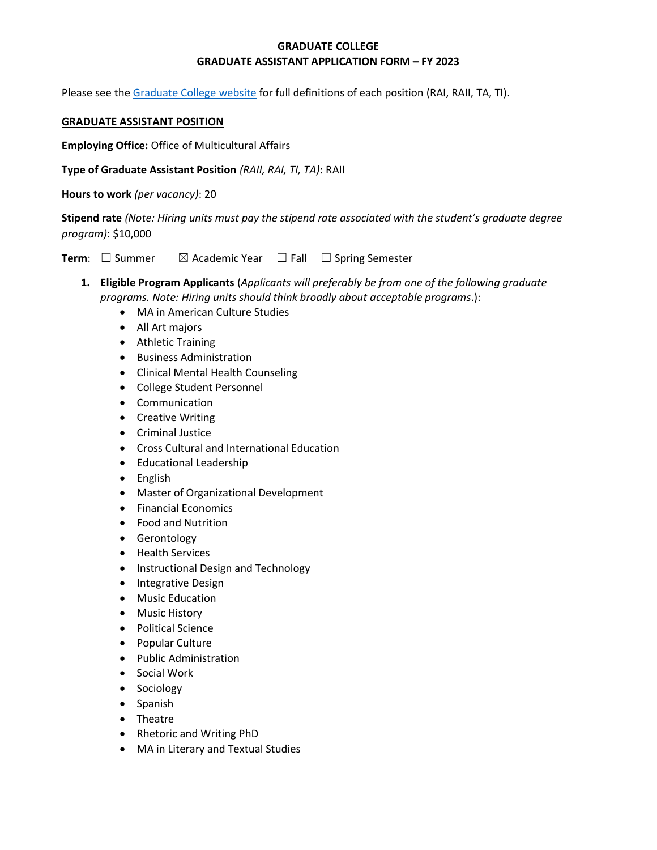# **GRADUATE COLLEGE GRADUATE ASSISTANT APPLICATION FORM – FY 2023**

Please see the [Graduate College website](https://www.bgsu.edu/content/dam/BGSU/graduate-college/GADocs/Grad-Col-GA-Position-Descriptions-21-22.pdf) for full definitions of each position (RAI, RAII, TA, TI).

### **GRADUATE ASSISTANT POSITION**

**Employing Office:** Office of Multicultural Affairs

**Type of Graduate Assistant Position** *(RAII, RAI, TI, TA)***:** RAII

**Hours to work** *(per vacancy)*: 20

**Stipend rate** *(Note: Hiring units must pay the stipend rate associated with the student's graduate degree program)*: \$10,000

**Term**: □ Summer  $\boxtimes$  Academic Year □ Fall □ Spring Semester

- **1. Eligible Program Applicants** (*Applicants will preferably be from one of the following graduate programs. Note: Hiring units should think broadly about acceptable programs*.):
	- MA in American Culture Studies
	- All Art majors
	- Athletic Training
	- Business Administration
	- Clinical Mental Health Counseling
	- College Student Personnel
	- Communication
	- Creative Writing
	- Criminal Justice
	- Cross Cultural and International Education
	- Educational Leadership
	- English
	- Master of Organizational Development
	- Financial Economics
	- Food and Nutrition
	- Gerontology
	- Health Services
	- Instructional Design and Technology
	- Integrative Design
	- Music Education
	- Music History
	- Political Science
	- Popular Culture
	- Public Administration
	- Social Work
	- Sociology
	- Spanish
	- Theatre
	- Rhetoric and Writing PhD
	- MA in Literary and Textual Studies